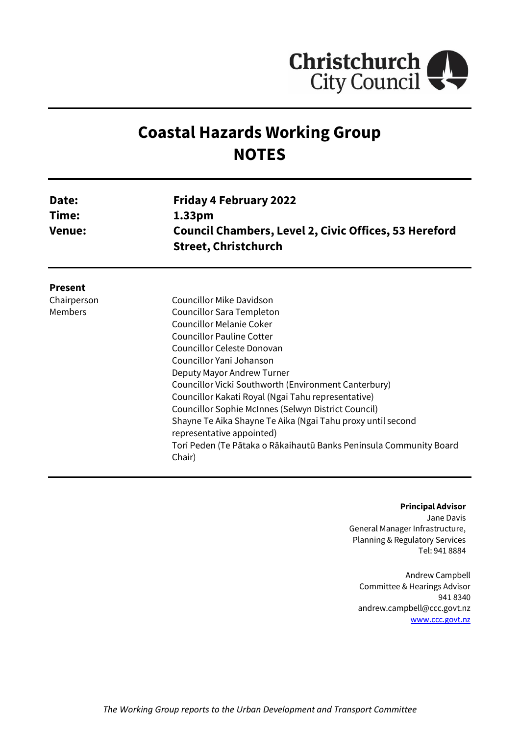

# **Coastal Hazards Working Group NOTES**

| Date:<br>Time:<br><b>Venue:</b> | <b>Friday 4 February 2022</b><br>1.33 <sub>pm</sub><br><b>Council Chambers, Level 2, Civic Offices, 53 Hereford</b><br><b>Street, Christchurch</b> |
|---------------------------------|----------------------------------------------------------------------------------------------------------------------------------------------------|
| <b>Present</b>                  |                                                                                                                                                    |
| Chairperson                     | Councillor Mike Davidson                                                                                                                           |
| <b>Members</b>                  | Councillor Sara Templeton                                                                                                                          |
|                                 | <b>Councillor Melanie Coker</b>                                                                                                                    |
|                                 | Councillor Pauline Cotter                                                                                                                          |
|                                 | Councillor Celeste Donovan                                                                                                                         |
|                                 | Councillor Yani Johanson                                                                                                                           |
|                                 | Deputy Mayor Andrew Turner                                                                                                                         |
|                                 | Councillor Vicki Southworth (Environment Canterbury)                                                                                               |
|                                 | Councillor Kakati Royal (Ngai Tahu representative)                                                                                                 |
|                                 | Councillor Sophie McInnes (Selwyn District Council)                                                                                                |
|                                 | Shayne Te Aika Shayne Te Aika (Ngai Tahu proxy until second<br>representative appointed)                                                           |
|                                 | Tori Peden (Te Pātaka o Rākaihautū Banks Peninsula Community Board<br>Chair)                                                                       |

#### **Principal Advisor**

Jane Davis General Manager Infrastructure, Planning & Regulatory Services Tel: 941 8884

Andrew Campbell Committee & Hearings Advisor 941 8340 andrew.campbell@ccc.govt.nz [www.ccc.govt.nz](http://www.ccc.govt.nz/)